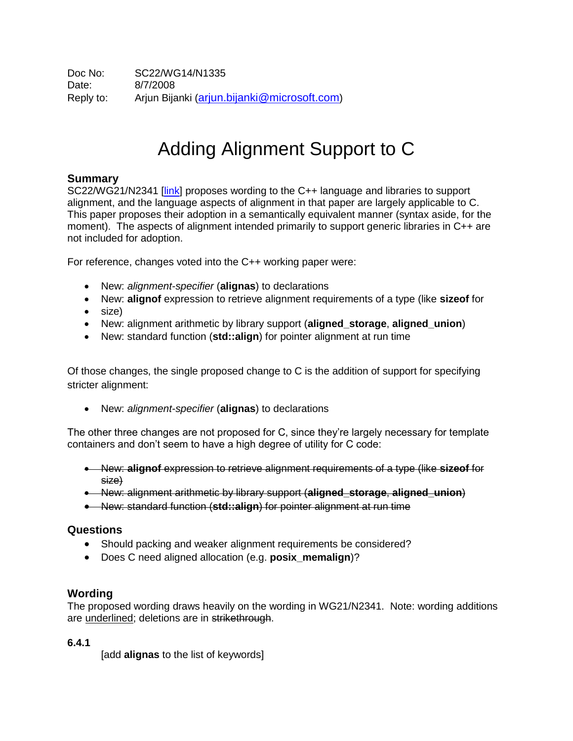# Adding Alignment Support to C

### **Summary**

SC22/WG21/N2341 [\[link\]](http://www.open-std.org/jtc1/sc22/wg21/docs/papers/2007/n2341.pdf) proposes wording to the C++ language and libraries to support alignment, and the language aspects of alignment in that paper are largely applicable to C. This paper proposes their adoption in a semantically equivalent manner (syntax aside, for the moment). The aspects of alignment intended primarily to support generic libraries in C++ are not included for adoption.

For reference, changes voted into the C++ working paper were:

- New: *alignment-specifier* (**alignas**) to declarations
- New: **alignof** expression to retrieve alignment requirements of a type (like **sizeof** for
- size)
- New: alignment arithmetic by library support (**aligned\_storage**, **aligned\_union**)
- New: standard function (**std::align**) for pointer alignment at run time

Of those changes, the single proposed change to C is the addition of support for specifying stricter alignment:

New: *alignment-specifier* (**alignas**) to declarations

The other three changes are not proposed for C, since they're largely necessary for template containers and don't seem to have a high degree of utility for C code:

- New: **alignof** expression to retrieve alignment requirements of a type (like **sizeof** for size)
- New: alignment arithmetic by library support (**aligned\_storage**, **aligned\_union**)
- New: standard function (**std::align**) for pointer alignment at run time

#### **Questions**

- Should packing and weaker alignment requirements be considered?
- Does C need aligned allocation (e.g. **posix\_memalign**)?

#### **Wording**

The proposed wording draws heavily on the wording in WG21/N2341. Note: wording additions are underlined; deletions are in strikethrough.

**6.4.1**

[add **alignas** to the list of keywords]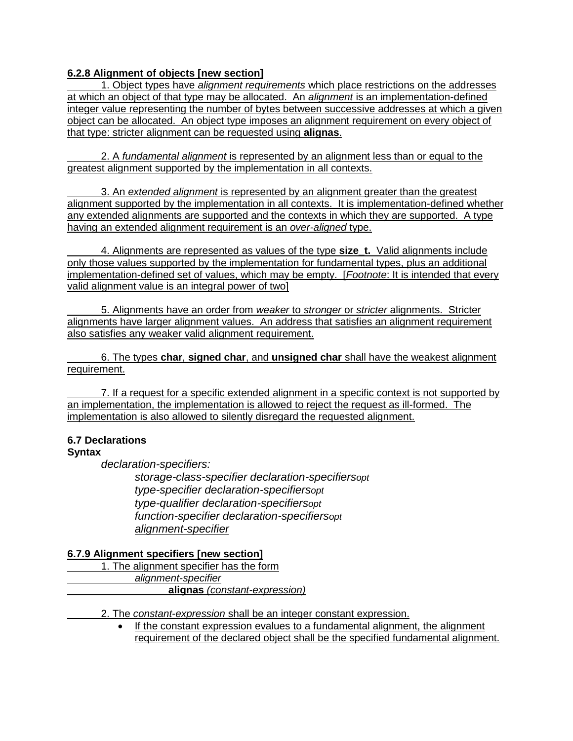### **6.2.8 Alignment of objects [new section]**

1. Object types have *alignment requirements* which place restrictions on the addresses at which an object of that type may be allocated. An *alignment* is an implementation-defined integer value representing the number of bytes between successive addresses at which a given object can be allocated. An object type imposes an alignment requirement on every object of that type: stricter alignment can be requested using **alignas**.

2. A *fundamental alignment* is represented by an alignment less than or equal to the greatest alignment supported by the implementation in all contexts.

3. An *extended alignment* is represented by an alignment greater than the greatest alignment supported by the implementation in all contexts. It is implementation-defined whether any extended alignments are supported and the contexts in which they are supported. A type having an extended alignment requirement is an *over-aligned* type.

4. Alignments are represented as values of the type **size\_t.** Valid alignments include only those values supported by the implementation for fundamental types, plus an additional implementation-defined set of values, which may be empty. [*Footnote*: It is intended that every valid alignment value is an integral power of two]

5. Alignments have an order from *weaker* to *stronger* or *stricter* alignments. Stricter alignments have larger alignment values. An address that satisfies an alignment requirement also satisfies any weaker valid alignment requirement.

6. The types **char**, **signed char**, and **unsigned char** shall have the weakest alignment requirement.

7. If a request for a specific extended alignment in a specific context is not supported by an implementation, the implementation is allowed to reject the request as ill-formed. The implementation is also allowed to silently disregard the requested alignment.

# **6.7 Declarations**

# **Syntax**

*declaration-specifiers:*

*storage-class-specifier declaration-specifiersopt type-specifier declaration-specifiersopt type-qualifier declaration-specifiersopt function-specifier declaration-specifiersopt alignment-specifier*

# **6.7.9 Alignment specifiers [new section]**

- 1. The alignment specifier has the form *alignment-specifier* **alignas** *(constant-expression)*
	- 2. The *constant-expression* shall be an integer constant expression.
		- If the constant expression evalues to a fundamental alignment, the alignment requirement of the declared object shall be the specified fundamental alignment.